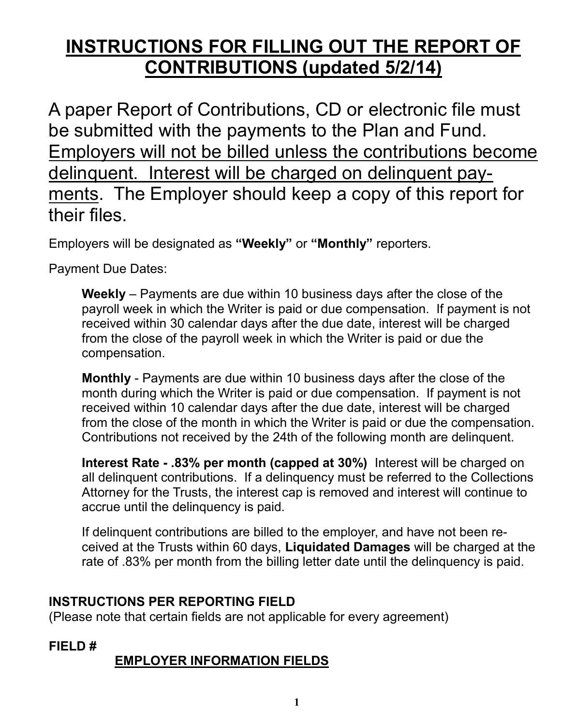# **INSTRUCTIONS FOR FILLING OUT THE REPORT OF CONTRIBUTIONS (updated 5/2/14)**

A paper Report of Contributions, CD or electronic file must be submitted with the payments to the Plan and Fund. Employers will not be billed unless the contributions become delinquent. Interest will be charged on delinquent payments. The Employer should keep a copy of this report for their files.

Employers will be designated as **"Weekly"** or **"Monthly"** reporters.

Payment Due Dates:

**Weekly** – Payments are due within 10 business days after the close of the payroll week in which the Writer is paid or due compensation. If payment is not received within 30 calendar days after the due date, interest will be charged from the close of the payroll week in which the Writer is paid or due the compensation.

**Monthly** - Payments are due within 10 business days after the close of the month during which the Writer is paid or due compensation. If payment is not received within 10 calendar days after the due date, interest will be charged from the close of the month in which the Writer is paid or due the compensation. Contributions not received by the 24th of the following month are delinquent.

**Interest Rate - .83% per month (capped at 30%)** Interest will be charged on all delinquent contributions. If a delinquency must be referred to the Collections Attorney for the Trusts, the interest cap is removed and interest will continue to accrue until the delinquency is paid.

If delinquent contributions are billed to the employer, and have not been received at the Trusts within 60 days, **Liquidated Damages** will be charged at the rate of .83% per month from the billing letter date until the delinquency is paid.

#### **INSTRUCTIONS PER REPORTING FIELD**

(Please note that certain fields are not applicable for every agreement)

**FIELD #**

## **EMPLOYER INFORMATION FIELDS**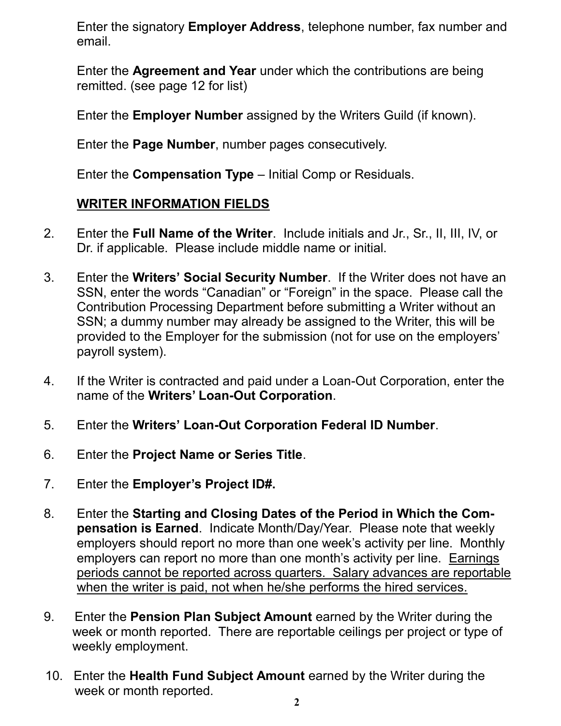Enter the signatory **Employer Address**, telephone number, fax number and email.

Enter the **Agreement and Year** under which the contributions are being remitted. (see page 12 for list)

Enter the **Employer Number** assigned by the Writers Guild (if known).

Enter the **Page Number**, number pages consecutively.

Enter the **Compensation Type** – Initial Comp or Residuals.

#### **WRITER INFORMATION FIELDS**

- 2. Enter the **Full Name of the Writer**. Include initials and Jr., Sr., II, III, IV, or Dr. if applicable. Please include middle name or initial.
- 3. Enter the **Writers' Social Security Number**. If the Writer does not have an SSN, enter the words "Canadian" or "Foreign" in the space. Please call the Contribution Processing Department before submitting a Writer without an SSN; a dummy number may already be assigned to the Writer, this will be provided to the Employer for the submission (not for use on the employers' payroll system).
- 4. If the Writer is contracted and paid under a Loan-Out Corporation, enter the name of the **Writers' Loan-Out Corporation**.
- 5. Enter the **Writers' Loan-Out Corporation Federal ID Number**.
- 6. Enter the **Project Name or Series Title**.
- 7. Enter the **Employer's Project ID#.**
- 8. Enter the **Starting and Closing Dates of the Period in Which the Compensation is Earned**. Indicate Month/Day/Year. Please note that weekly employers should report no more than one week's activity per line. Monthly employers can report no more than one month's activity per line. Earnings periods cannot be reported across quarters. Salary advances are reportable when the writer is paid, not when he/she performs the hired services.
- 9. Enter the **Pension Plan Subject Amount** earned by the Writer during the week or month reported. There are reportable ceilings per project or type of weekly employment.
- 10. Enter the **Health Fund Subject Amount** earned by the Writer during the week or month reported.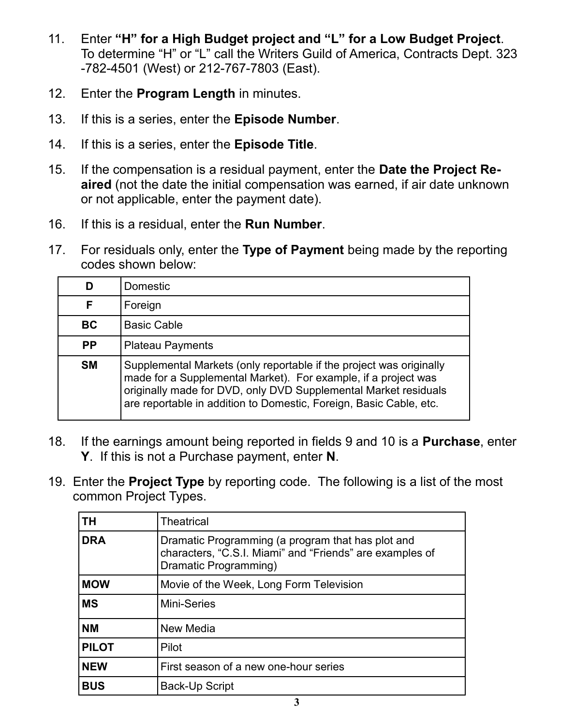- 11. Enter **"H" for a High Budget project and "L" for a Low Budget Project**. To determine "H" or "L" call the Writers Guild of America, Contracts Dept. 323 -782-4501 (West) or 212-767-7803 (East).
- 12. Enter the **Program Length** in minutes.
- 13. If this is a series, enter the **Episode Number**.
- 14. If this is a series, enter the **Episode Title**.
- 15. If the compensation is a residual payment, enter the **Date the Project Reaired** (not the date the initial compensation was earned, if air date unknown or not applicable, enter the payment date).
- 16. If this is a residual, enter the **Run Number**.
- 17. For residuals only, enter the **Type of Payment** being made by the reporting codes shown below:

|           | Domestic                                                                                                                                                                                                                                                                       |
|-----------|--------------------------------------------------------------------------------------------------------------------------------------------------------------------------------------------------------------------------------------------------------------------------------|
| F         | Foreign                                                                                                                                                                                                                                                                        |
| <b>BC</b> | <b>Basic Cable</b>                                                                                                                                                                                                                                                             |
| <b>PP</b> | <b>Plateau Payments</b>                                                                                                                                                                                                                                                        |
| <b>SM</b> | Supplemental Markets (only reportable if the project was originally<br>made for a Supplemental Market). For example, if a project was<br>originally made for DVD, only DVD Supplemental Market residuals<br>are reportable in addition to Domestic, Foreign, Basic Cable, etc. |

- 18. If the earnings amount being reported in fields 9 and 10 is a **Purchase**, enter **Y**. If this is not a Purchase payment, enter **N**.
- 19. Enter the **Project Type** by reporting code. The following is a list of the most common Project Types.

| ΤH           | <b>Theatrical</b>                                                                                                                      |
|--------------|----------------------------------------------------------------------------------------------------------------------------------------|
| <b>DRA</b>   | Dramatic Programming (a program that has plot and<br>characters, "C.S.I. Miami" and "Friends" are examples of<br>Dramatic Programming) |
| <b>MOW</b>   | Movie of the Week, Long Form Television                                                                                                |
| <b>MS</b>    | <b>Mini-Series</b>                                                                                                                     |
| <b>NM</b>    | New Media                                                                                                                              |
| <b>PILOT</b> | Pilot                                                                                                                                  |
| <b>NEW</b>   | First season of a new one-hour series                                                                                                  |
| <b>BUS</b>   | Back-Up Script                                                                                                                         |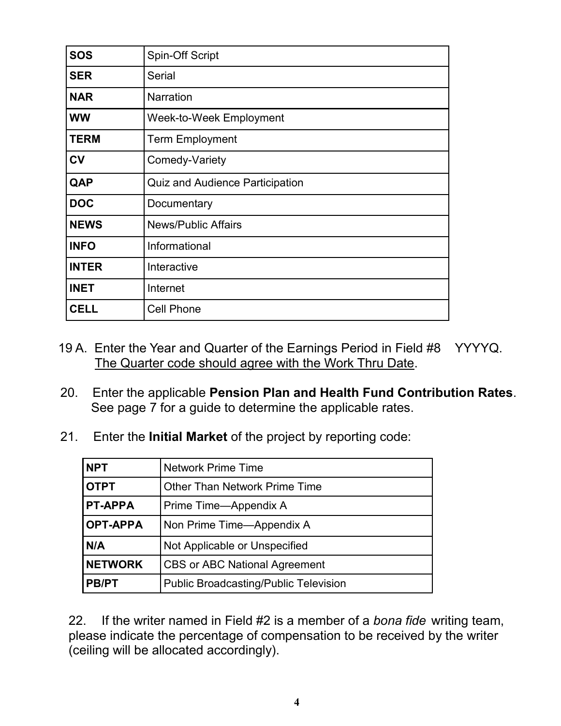| <b>SOS</b>   | Spin-Off Script                        |
|--------------|----------------------------------------|
| <b>SER</b>   | Serial                                 |
| <b>NAR</b>   | <b>Narration</b>                       |
| <b>WW</b>    | Week-to-Week Employment                |
| <b>TERM</b>  | <b>Term Employment</b>                 |
| <b>CV</b>    | Comedy-Variety                         |
| QAP          | <b>Quiz and Audience Participation</b> |
| <b>DOC</b>   | Documentary                            |
| <b>NEWS</b>  | <b>News/Public Affairs</b>             |
| <b>INFO</b>  | Informational                          |
| <b>INTER</b> | Interactive                            |
| <b>INET</b>  | Internet                               |
| <b>CELL</b>  | <b>Cell Phone</b>                      |

- 19 A. Enter the Year and Quarter of the Earnings Period in Field #8 YYYYQ. The Quarter code should agree with the Work Thru Date.
- 20. Enter the applicable **Pension Plan and Health Fund Contribution Rates**. See page 7 for a guide to determine the applicable rates.
- 21. Enter the **Initial Market** of the project by reporting code:

| <b>NPT</b>      | <b>Network Prime Time</b>                    |  |
|-----------------|----------------------------------------------|--|
| <b>OTPT</b>     | <b>Other Than Network Prime Time</b>         |  |
| <b>PT-APPA</b>  | Prime Time—Appendix A                        |  |
| <b>OPT-APPA</b> | Non Prime Time—Appendix A                    |  |
| N/A             | Not Applicable or Unspecified                |  |
| <b>NETWORK</b>  | <b>CBS or ABC National Agreement</b>         |  |
| <b>PB/PT</b>    | <b>Public Broadcasting/Public Television</b> |  |

22. If the writer named in Field #2 is a member of a *bona fide* writing team, please indicate the percentage of compensation to be received by the writer (ceiling will be allocated accordingly).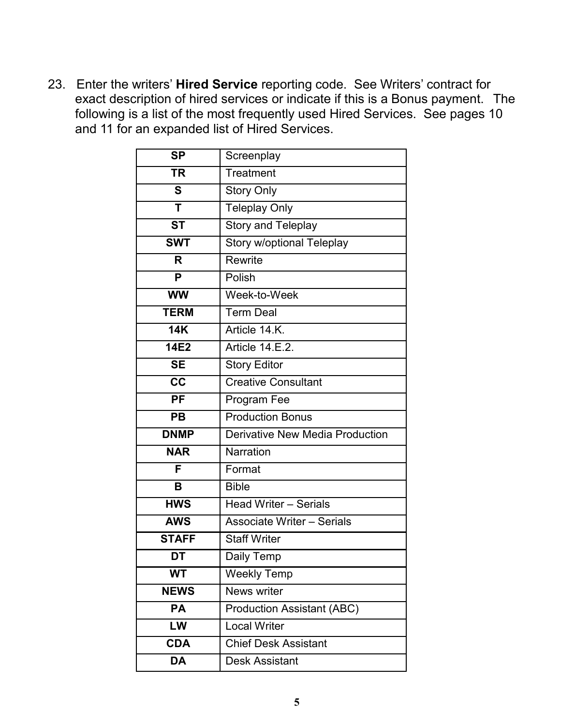23. Enter the writers' **Hired Service** reporting code. See Writers' contract for exact description of hired services or indicate if this is a Bonus payment. The following is a list of the most frequently used Hired Services. See pages 10 and 11 for an expanded list of Hired Services.

| <b>SP</b>              | Screenplay                             |
|------------------------|----------------------------------------|
| <b>TR</b>              | Treatment                              |
| S                      | <b>Story Only</b>                      |
| T                      | <b>Teleplay Only</b>                   |
| <b>ST</b>              | <b>Story and Teleplay</b>              |
| <b>SWT</b>             | Story w/optional Teleplay              |
| R                      | Rewrite                                |
| P                      | Polish                                 |
| <b>WW</b>              | Week-to-Week                           |
| <b>TERM</b>            | <b>Term Deal</b>                       |
| <b>14K</b>             | Article 14.K.                          |
| 14E2                   | Article 14.E.2.                        |
| <b>SE</b>              | <b>Story Editor</b>                    |
| $\overline{\text{cc}}$ | <b>Creative Consultant</b>             |
| <b>PF</b>              | Program Fee                            |
|                        |                                        |
| <b>PB</b>              | <b>Production Bonus</b>                |
| <b>DNMP</b>            | <b>Derivative New Media Production</b> |
| <b>NAR</b>             | Narration                              |
| F                      | Format                                 |
| В                      | <b>Bible</b>                           |
| <b>HWS</b>             | <b>Head Writer - Serials</b>           |
| <b>AWS</b>             | <b>Associate Writer - Serials</b>      |
| <b>STAFF</b>           | <b>Staff Writer</b>                    |
| DT                     | Daily Temp                             |
| WT                     | <b>Weekly Temp</b>                     |
| <b>NEWS</b>            | News writer                            |
| PA                     | <b>Production Assistant (ABC)</b>      |
| LW                     | <b>Local Writer</b>                    |
| <b>CDA</b>             | <b>Chief Desk Assistant</b>            |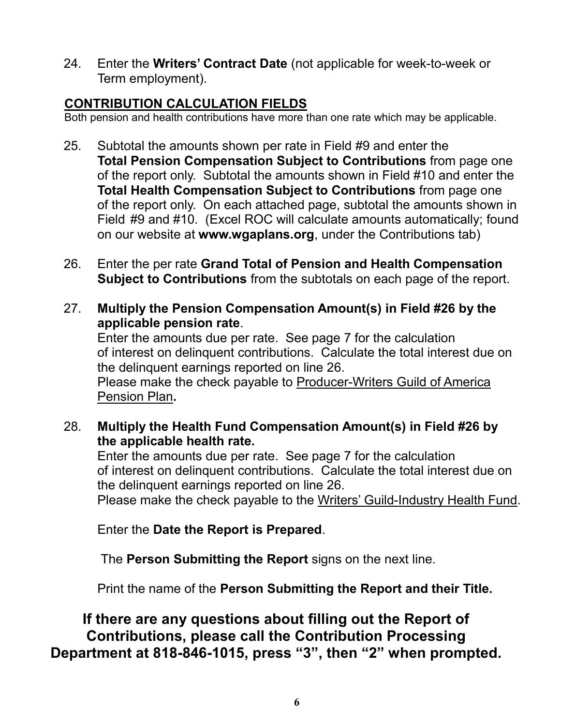24. Enter the **Writers' Contract Date** (not applicable for week-to-week or Term employment).

#### **CONTRIBUTION CALCULATION FIELDS**

Both pension and health contributions have more than one rate which may be applicable.

- 25. Subtotal the amounts shown per rate in Field #9 and enter the **Total Pension Compensation Subject to Contributions** from page one of the report only. Subtotal the amounts shown in Field #10 and enter the **Total Health Compensation Subject to Contributions** from page one of the report only. On each attached page, subtotal the amounts shown in Field #9 and #10. (Excel ROC will calculate amounts automatically; found on our website at **www.wgaplans.org**, under the Contributions tab)
- 26. Enter the per rate **Grand Total of Pension and Health Compensation Subject to Contributions** from the subtotals on each page of the report.
- 27. **Multiply the Pension Compensation Amount(s) in Field #26 by the applicable pension rate**.

 Enter the amounts due per rate. See page 7 for the calculation of interest on delinquent contributions. Calculate the total interest due on the delinquent earnings reported on line 26. Please make the check payable to Producer-Writers Guild of America Pension Plan**.**

 28. **Multiply the Health Fund Compensation Amount(s) in Field #26 by the applicable health rate.**

 Enter the amounts due per rate. See page 7 for the calculation of interest on delinquent contributions. Calculate the total interest due on the delinquent earnings reported on line 26.

Please make the check payable to the Writers' Guild-Industry Health Fund.

Enter the **Date the Report is Prepared**.

The **Person Submitting the Report** signs on the next line.

Print the name of the **Person Submitting the Report and their Title.**

 **If there are any questions about filling out the Report of Contributions, please call the Contribution Processing Department at 818-846-1015, press "3", then "2" when prompted.**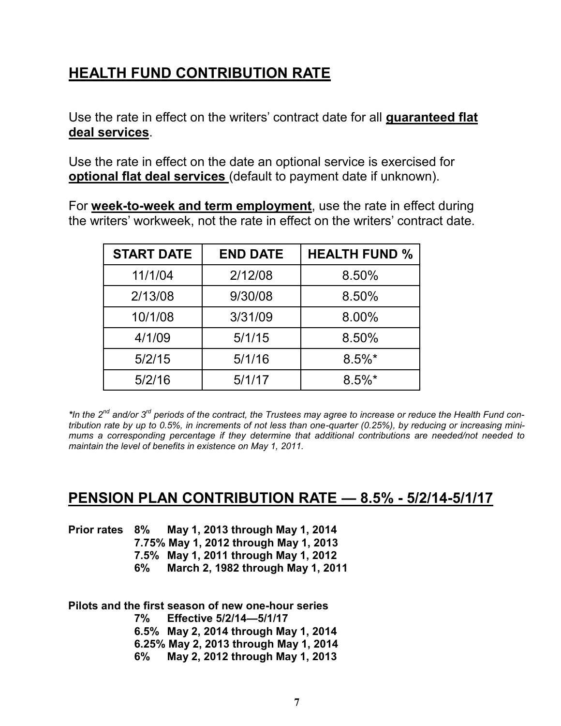# **HEALTH FUND CONTRIBUTION RATE**

Use the rate in effect on the writers' contract date for all **guaranteed flat deal services**.

Use the rate in effect on the date an optional service is exercised for **optional flat deal services** (default to payment date if unknown).

For **week-to-week and term employment**, use the rate in effect during the writers' workweek, not the rate in effect on the writers' contract date.

| <b>START DATE</b> | <b>END DATE</b> | <b>HEALTH FUND %</b> |
|-------------------|-----------------|----------------------|
| 11/1/04           | 2/12/08         | 8.50%                |
| 2/13/08           | 9/30/08         | 8.50%                |
| 10/1/08           | 3/31/09         | 8.00%                |
| 4/1/09            | 5/1/15          | 8.50%                |
| 5/2/15            | 5/1/16          | $8.5\%$ *            |
| 5/2/16            | 5/1/17          | $8.5\%$ *            |

*\*In the 2nd and/or 3rd periods of the contract, the Trustees may agree to increase or reduce the Health Fund contribution rate by up to 0.5%, in increments of not less than one-quarter (0.25%), by reducing or increasing minimums a corresponding percentage if they determine that additional contributions are needed/not needed to maintain the level of benefits in existence on May 1, 2011.* 

#### **PENSION PLAN CONTRIBUTION RATE — 8.5% - 5/2/14-5/1/17**

|  | Prior rates 8% May 1, 2013 through May 1, 2014 |
|--|------------------------------------------------|
|  |                                                |

 **7.75% May 1, 2012 through May 1, 2013**

 **7.5% May 1, 2011 through May 1, 2012**

 **6% March 2, 1982 through May 1, 2011**

**Pilots and the first season of new one-hour series** 

 **7% Effective 5/2/14—5/1/17**

 **6.5% May 2, 2014 through May 1, 2014**

 **6.25% May 2, 2013 through May 1, 2014**

 **6% May 2, 2012 through May 1, 2013**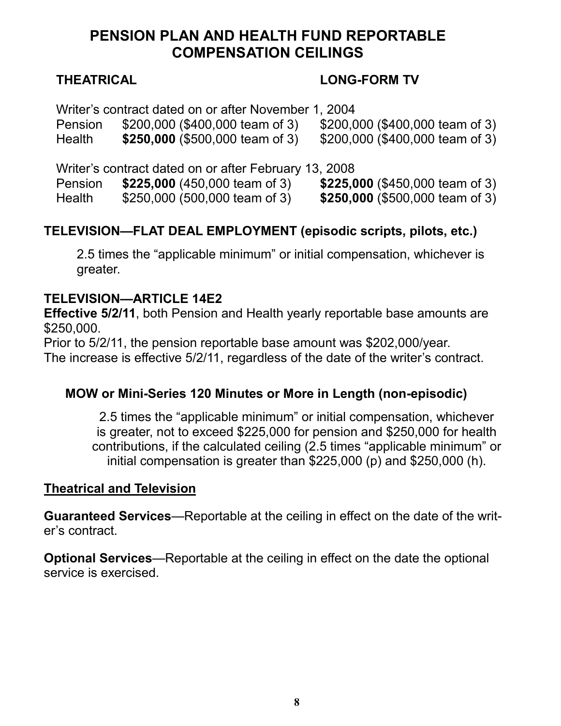### **PENSION PLAN AND HEALTH FUND REPORTABLE COMPENSATION CEILINGS**

#### **THEATRICAL LONG-FORM TV**

Writer's contract dated on or after November 1, 2004

Pension \$200,000 (\$400,000 team of 3) \$200,000 (\$400,000 team of 3) Health **\$250,000** (\$500,000 team of 3) \$200,000 (\$400,000 team of 3)

Writer's contract dated on or after February 13, 2008

Pension **\$225,000** (450,000 team of 3) **\$225,000** (\$450,000 team of 3)

Health \$250,000 (500,000 team of 3) **\$250,000** (\$500,000 team of 3)

### **TELEVISION—FLAT DEAL EMPLOYMENT (episodic scripts, pilots, etc.)**

2.5 times the "applicable minimum" or initial compensation, whichever is greater.

#### **TELEVISION—ARTICLE 14E2**

**Effective 5/2/11**, both Pension and Health yearly reportable base amounts are \$250,000.

Prior to 5/2/11, the pension reportable base amount was \$202,000/year.

The increase is effective 5/2/11, regardless of the date of the writer's contract.

#### **MOW or Mini-Series 120 Minutes or More in Length (non-episodic)**

2.5 times the "applicable minimum" or initial compensation, whichever is greater, not to exceed \$225,000 for pension and \$250,000 for health contributions, if the calculated ceiling (2.5 times "applicable minimum" or initial compensation is greater than \$225,000 (p) and \$250,000 (h).

#### **Theatrical and Television**

**Guaranteed Services**—Reportable at the ceiling in effect on the date of the writer's contract.

**Optional Services**—Reportable at the ceiling in effect on the date the optional service is exercised.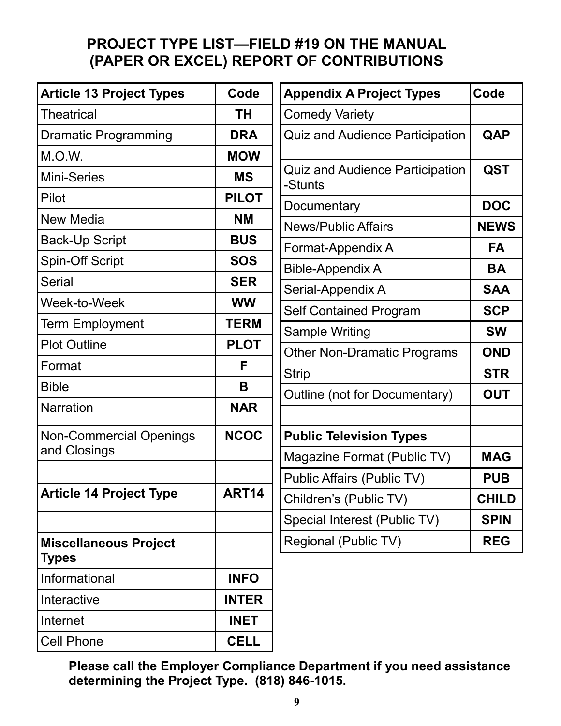# **PROJECT TYPE LIST—FIELD #19 ON THE MANUAL (PAPER OR EXCEL) REPORT OF CONTRIBUTIONS**

| <b>Article 13 Project Types</b>              | Code         | <b>Appendix A Project Types</b>                   | Code         |
|----------------------------------------------|--------------|---------------------------------------------------|--------------|
| <b>Theatrical</b>                            | ΤH           | <b>Comedy Variety</b>                             |              |
| <b>Dramatic Programming</b>                  | <b>DRA</b>   | <b>Quiz and Audience Participation</b>            | QAP          |
| M.O.W.                                       | <b>MOW</b>   |                                                   |              |
| <b>Mini-Series</b>                           | <b>MS</b>    | <b>Quiz and Audience Participation</b><br>-Stunts | <b>QST</b>   |
| Pilot                                        | <b>PILOT</b> | Documentary                                       | <b>DOC</b>   |
| New Media                                    | <b>NM</b>    | <b>News/Public Affairs</b>                        | <b>NEWS</b>  |
| <b>Back-Up Script</b>                        | <b>BUS</b>   | Format-Appendix A                                 | <b>FA</b>    |
| <b>Spin-Off Script</b>                       | <b>SOS</b>   | <b>Bible-Appendix A</b>                           | <b>BA</b>    |
| <b>Serial</b>                                | <b>SER</b>   | Serial-Appendix A                                 | <b>SAA</b>   |
| Week-to-Week                                 | <b>WW</b>    | <b>Self Contained Program</b>                     | <b>SCP</b>   |
| <b>Term Employment</b>                       | <b>TERM</b>  | Sample Writing                                    | <b>SW</b>    |
| <b>Plot Outline</b>                          | <b>PLOT</b>  | <b>Other Non-Dramatic Programs</b>                | <b>OND</b>   |
| Format                                       | F            | <b>Strip</b>                                      | <b>STR</b>   |
| <b>Bible</b>                                 | B            | Outline (not for Documentary)                     | <b>OUT</b>   |
| <b>Narration</b>                             | <b>NAR</b>   |                                                   |              |
| <b>Non-Commercial Openings</b>               | <b>NCOC</b>  | <b>Public Television Types</b>                    |              |
| and Closings                                 |              | Magazine Format (Public TV)                       | <b>MAG</b>   |
|                                              |              | Public Affairs (Public TV)                        | <b>PUB</b>   |
| <b>Article 14 Project Type</b>               | <b>ART14</b> | Children's (Public TV)                            | <b>CHILD</b> |
|                                              |              | Special Interest (Public TV)                      | <b>SPIN</b>  |
| <b>Miscellaneous Project</b><br><b>Types</b> |              | Regional (Public TV)                              | <b>REG</b>   |
| Informational                                | <b>INFO</b>  |                                                   |              |
| Interactive                                  | <b>INTER</b> |                                                   |              |
| Internet                                     | <b>INET</b>  |                                                   |              |
| Cell Phone                                   | <b>CELL</b>  |                                                   |              |

**Please call the Employer Compliance Department if you need assistance determining the Project Type. (818) 846-1015.**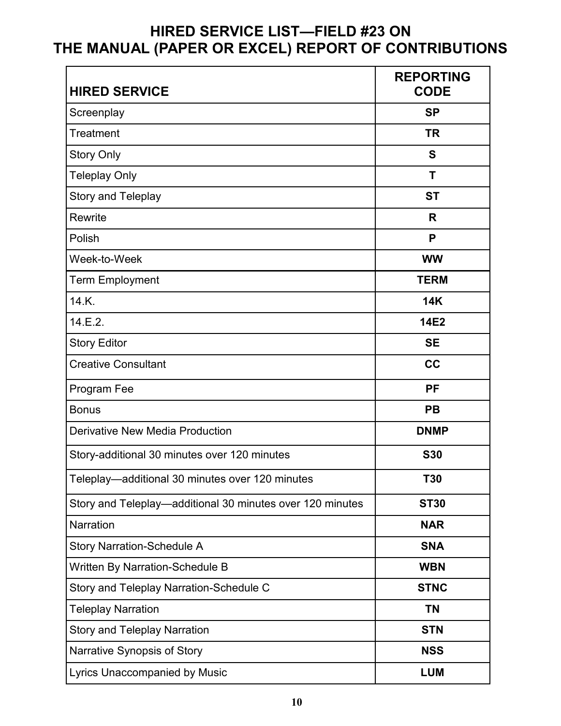# **HIRED SERVICE LIST—FIELD #23 ON THE MANUAL (PAPER OR EXCEL) REPORT OF CONTRIBUTIONS**

| <b>HIRED SERVICE</b>                                      | <b>REPORTING</b><br><b>CODE</b> |
|-----------------------------------------------------------|---------------------------------|
| Screenplay                                                | <b>SP</b>                       |
| <b>Treatment</b>                                          | <b>TR</b>                       |
| Story Only                                                | S                               |
| <b>Teleplay Only</b>                                      | T                               |
| Story and Teleplay                                        | <b>ST</b>                       |
| Rewrite                                                   | R                               |
| Polish                                                    | P                               |
| Week-to-Week                                              | <b>WW</b>                       |
| <b>Term Employment</b>                                    | <b>TERM</b>                     |
| 14.K.                                                     | <b>14K</b>                      |
| 14.E.2.                                                   | <b>14E2</b>                     |
| <b>Story Editor</b>                                       | <b>SE</b>                       |
| <b>Creative Consultant</b>                                | cc                              |
| Program Fee                                               | <b>PF</b>                       |
| <b>Bonus</b>                                              | PB                              |
| Derivative New Media Production                           | <b>DNMP</b>                     |
| Story-additional 30 minutes over 120 minutes              | <b>S30</b>                      |
| Teleplay-additional 30 minutes over 120 minutes           | <b>T30</b>                      |
| Story and Teleplay-additional 30 minutes over 120 minutes | <b>ST30</b>                     |
| Narration                                                 | <b>NAR</b>                      |
| <b>Story Narration-Schedule A</b>                         | <b>SNA</b>                      |
| <b>Written By Narration-Schedule B</b>                    | <b>WBN</b>                      |
| Story and Teleplay Narration-Schedule C                   | <b>STNC</b>                     |
| <b>Teleplay Narration</b>                                 | <b>TN</b>                       |
| <b>Story and Teleplay Narration</b>                       | <b>STN</b>                      |
| Narrative Synopsis of Story                               | <b>NSS</b>                      |
| <b>Lyrics Unaccompanied by Music</b>                      | <b>LUM</b>                      |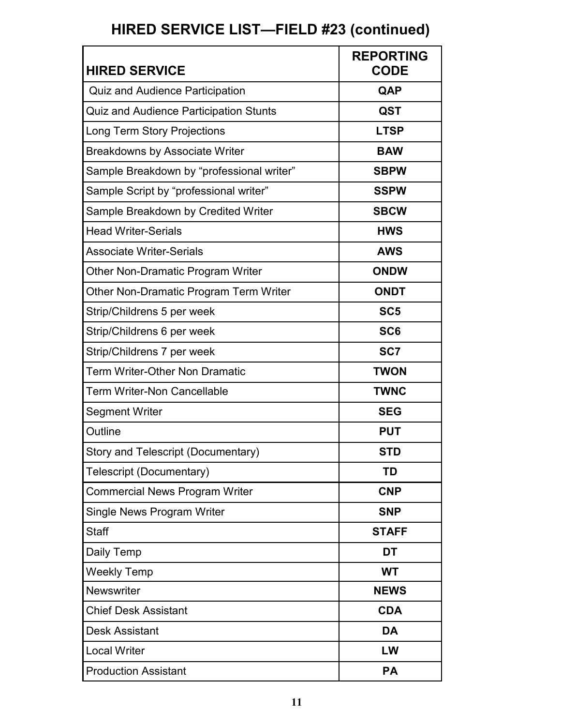# **HIRED SERVICE LIST—FIELD #23 (continued)**

| <b>HIRED SERVICE</b>                          | <b>REPORTING</b><br><b>CODE</b> |
|-----------------------------------------------|---------------------------------|
| <b>Quiz and Audience Participation</b>        | QAP                             |
| <b>Quiz and Audience Participation Stunts</b> | <b>QST</b>                      |
| Long Term Story Projections                   | <b>LTSP</b>                     |
| <b>Breakdowns by Associate Writer</b>         | <b>BAW</b>                      |
| Sample Breakdown by "professional writer"     | <b>SBPW</b>                     |
| Sample Script by "professional writer"        | <b>SSPW</b>                     |
| Sample Breakdown by Credited Writer           | <b>SBCW</b>                     |
| <b>Head Writer-Serials</b>                    | <b>HWS</b>                      |
| <b>Associate Writer-Serials</b>               | <b>AWS</b>                      |
| <b>Other Non-Dramatic Program Writer</b>      | <b>ONDW</b>                     |
| Other Non-Dramatic Program Term Writer        | <b>ONDT</b>                     |
| Strip/Childrens 5 per week                    | SC <sub>5</sub>                 |
| Strip/Childrens 6 per week                    | SC <sub>6</sub>                 |
| Strip/Childrens 7 per week                    | SC7                             |
| Term Writer-Other Non Dramatic                | <b>TWON</b>                     |
| Term Writer-Non Cancellable                   | <b>TWNC</b>                     |
| <b>Segment Writer</b>                         | <b>SEG</b>                      |
| Outline                                       | <b>PUT</b>                      |
| Story and Telescript (Documentary)            | <b>STD</b>                      |
| Telescript (Documentary)                      | <b>TD</b>                       |
| <b>Commercial News Program Writer</b>         | <b>CNP</b>                      |
| Single News Program Writer                    | <b>SNP</b>                      |
| <b>Staff</b>                                  | <b>STAFF</b>                    |
| Daily Temp                                    | DT                              |
| <b>Weekly Temp</b>                            | <b>WT</b>                       |
| Newswriter                                    | <b>NEWS</b>                     |
| <b>Chief Desk Assistant</b>                   | <b>CDA</b>                      |
| <b>Desk Assistant</b>                         | <b>DA</b>                       |
| <b>Local Writer</b>                           | LW                              |
| <b>Production Assistant</b>                   | <b>PA</b>                       |